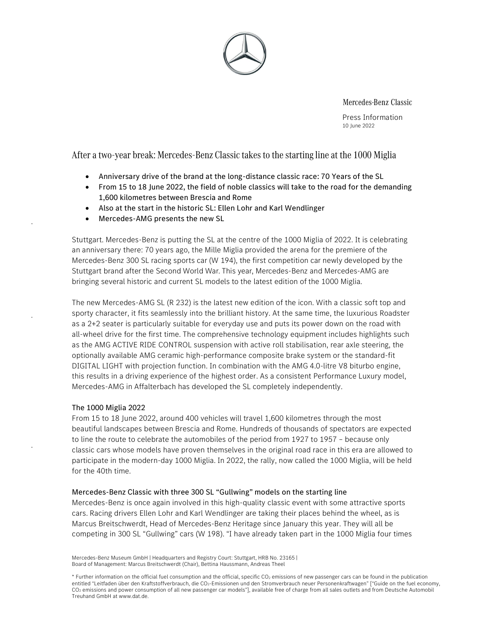

Mercedes-Benz Classic

Press Information 10 June 2022

After a two-year break: Mercedes-Benz Classic takes to the starting line at the 1000 Miglia

- Anniversary drive of the brand at the long-distance classic race: 70 Years of the SL
- From 15 to 18 June 2022, the field of noble classics will take to the road for the demanding 1,600 kilometres between Brescia and Rome
- Also at the start in the historic SL: Ellen Lohr and Karl Wendlinger
- Mercedes-AMG presents the new SL

Stuttgart. Mercedes-Benz is putting the SL at the centre of the 1000 Miglia of 2022. It is celebrating an anniversary there: 70 years ago, the Mille Miglia provided the arena for the premiere of the Mercedes-Benz 300 SL racing sports car (W 194), the first competition car newly developed by the Stuttgart brand after the Second World War. This year, Mercedes-Benz and Mercedes-AMG are bringing several historic and current SL models to the latest edition of the 1000 Miglia.

The new Mercedes-AMG SL (R 232) is the latest new edition of the icon. With a classic soft top and sporty character, it fits seamlessly into the brilliant history. At the same time, the luxurious Roadster as a 2+2 seater is particularly suitable for everyday use and puts its power down on the road with all-wheel drive for the first time. The comprehensive technology equipment includes highlights such as the AMG ACTIVE RIDE CONTROL suspension with active roll stabilisation, rear axle steering, the optionally available AMG ceramic high-performance composite brake system or the standard-fit DIGITAL LIGHT with projection function. In combination with the AMG 4.0-litre V8 biturbo engine, this results in a driving experience of the highest order. As a consistent Performance Luxury model, Mercedes-AMG in Affalterbach has developed the SL completely independently.

#### The 1000 Miglia 2022

From 15 to 18 June 2022, around 400 vehicles will travel 1,600 kilometres through the most beautiful landscapes between Brescia and Rome. Hundreds of thousands of spectators are expected to line the route to celebrate the automobiles of the period from 1927 to 1957 – because only classic cars whose models have proven themselves in the original road race in this era are allowed to participate in the modern-day 1000 Miglia. In 2022, the rally, now called the 1000 Miglia, will be held for the 40th time.

#### Mercedes-Benz Classic with three 300 SL "Gullwing" models on the starting line

Mercedes-Benz is once again involved in this high-quality classic event with some attractive sports cars. Racing drivers Ellen Lohr and Karl Wendlinger are taking their places behind the wheel, as is Marcus Breitschwerdt, Head of Mercedes-Benz Heritage since January this year. They will all be competing in 300 SL "Gullwing" cars (W 198). "I have already taken part in the 1000 Miglia four times

Mercedes-Benz Museum GmbH | Headquarters and Registry Court: Stuttgart, HRB No. 23165 | Board of Management: Marcus Breitschwerdt (Chair), Bettina Haussmann, Andreas Theel

\* Further information on the official fuel consumption and the official, specific CO<sub>2</sub> emissions of new passenger cars can be found in the publication entitled "Leitfaden über den Kraftstoffverbrauch, die CO<sub>2</sub>-Emissionen und den Stromverbrauch neuer Personenkraftwagen" ["Guide on the fuel economy, CO2 emissions and power consumption of all new passenger car models"], available free of charge from all sales outlets and from Deutsche Automobil Treuhand GmbH at www.dat.de.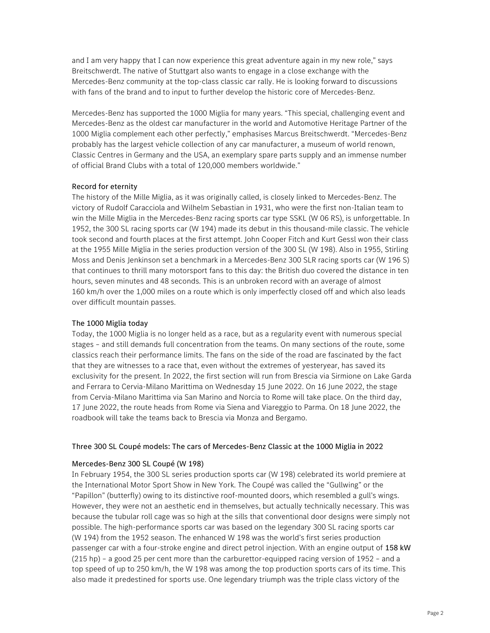and I am very happy that I can now experience this great adventure again in my new role," says Breitschwerdt. The native of Stuttgart also wants to engage in a close exchange with the Mercedes-Benz community at the top-class classic car rally. He is looking forward to discussions with fans of the brand and to input to further develop the historic core of Mercedes-Benz.

Mercedes-Benz has supported the 1000 Miglia for many years. "This special, challenging event and Mercedes-Benz as the oldest car manufacturer in the world and Automotive Heritage Partner of the 1000 Miglia complement each other perfectly," emphasises Marcus Breitschwerdt. "Mercedes-Benz probably has the largest vehicle collection of any car manufacturer, a museum of world renown, Classic Centres in Germany and the USA, an exemplary spare parts supply and an immense number of official Brand Clubs with a total of 120,000 members worldwide."

#### Record for eternity

The history of the Mille Miglia, as it was originally called, is closely linked to Mercedes-Benz. The victory of Rudolf Caracciola and Wilhelm Sebastian in 1931, who were the first non-Italian team to win the Mille Miglia in the Mercedes-Benz racing sports car type SSKL (W 06 RS), is unforgettable. In 1952, the 300 SL racing sports car (W 194) made its debut in this thousand-mile classic. The vehicle took second and fourth places at the first attempt. John Cooper Fitch and Kurt Gessl won their class at the 1955 Mille Miglia in the series production version of the 300 SL (W 198). Also in 1955, Stirling Moss and Denis Jenkinson set a benchmark in a Mercedes-Benz 300 SLR racing sports car (W 196 S) that continues to thrill many motorsport fans to this day: the British duo covered the distance in ten hours, seven minutes and 48 seconds. This is an unbroken record with an average of almost 160 km/h over the 1,000 miles on a route which is only imperfectly closed off and which also leads over difficult mountain passes.

#### The 1000 Miglia today

Today, the 1000 Miglia is no longer held as a race, but as a regularity event with numerous special stages – and still demands full concentration from the teams. On many sections of the route, some classics reach their performance limits. The fans on the side of the road are fascinated by the fact that they are witnesses to a race that, even without the extremes of yesteryear, has saved its exclusivity for the present. In 2022, the first section will run from Brescia via Sirmione on Lake Garda and Ferrara to Cervia-Milano Marittima on Wednesday 15 June 2022. On 16 June 2022, the stage from Cervia-Milano Marittima via San Marino and Norcia to Rome will take place. On the third day, 17 June 2022, the route heads from Rome via Siena and Viareggio to Parma. On 18 June 2022, the roadbook will take the teams back to Brescia via Monza and Bergamo.

#### Three 300 SL Coupé models: The cars of Mercedes-Benz Classic at the 1000 Miglia in 2022

#### Mercedes-Benz 300 SL Coupé (W 198)

In February 1954, the 300 SL series production sports car (W 198) celebrated its world premiere at the International Motor Sport Show in New York. The Coupé was called the "Gullwing" or the "Papillon" (butterfly) owing to its distinctive roof-mounted doors, which resembled a gull's wings. However, they were not an aesthetic end in themselves, but actually technically necessary. This was because the tubular roll cage was so high at the sills that conventional door designs were simply not possible. The high-performance sports car was based on the legendary 300 SL racing sports car (W 194) from the 1952 season. The enhanced W 198 was the world's first series production passenger car with a four-stroke engine and direct petrol injection. With an engine output of 158 kW (215 hp) – a good 25 per cent more than the carburettor-equipped racing version of 1952 – and a top speed of up to 250 km/h, the W 198 was among the top production sports cars of its time. This also made it predestined for sports use. One legendary triumph was the triple class victory of the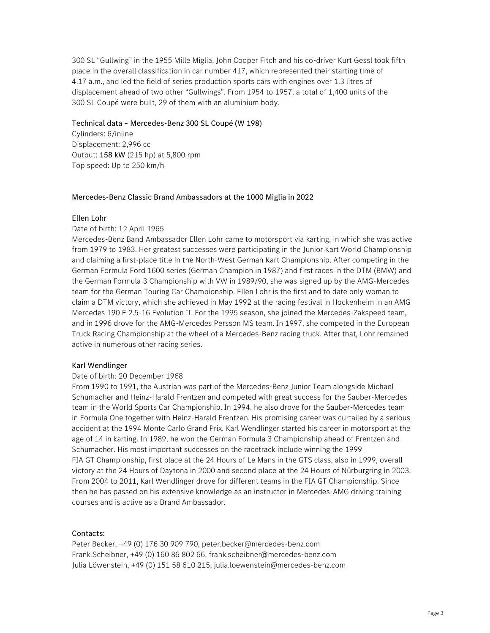300 SL "Gullwing" in the 1955 Mille Miglia. John Cooper Fitch and his co-driver Kurt Gessl took fifth place in the overall classification in car number 417, which represented their starting time of 4.17 a.m., and led the field of series production sports cars with engines over 1.3 litres of displacement ahead of two other "Gullwings". From 1954 to 1957, a total of 1,400 units of the 300 SL Coupé were built, 29 of them with an aluminium body.

## Technical data – Mercedes-Benz 300 SL Coupé (W 198)

Cylinders: 6/inline Displacement: 2,996 cc Output: 158 kW (215 hp) at 5,800 rpm Top speed: Up to 250 km/h

#### Mercedes-Benz Classic Brand Ambassadors at the 1000 Miglia in 2022

#### Ellen Lohr

# Date of birth: 12 April 1965

Mercedes-Benz Band Ambassador Ellen Lohr came to motorsport via karting, in which she was active from 1979 to 1983. Her greatest successes were participating in the Junior Kart World Championship and claiming a first-place title in the North-West German Kart Championship. After competing in the German Formula Ford 1600 series (German Champion in 1987) and first races in the DTM (BMW) and the German Formula 3 Championship with VW in 1989/90, she was signed up by the AMG-Mercedes team for the German Touring Car Championship. Ellen Lohr is the first and to date only woman to claim a DTM victory, which she achieved in May 1992 at the racing festival in Hockenheim in an AMG Mercedes 190 E 2.5-16 Evolution II. For the 1995 season, she joined the Mercedes-Zakspeed team, and in 1996 drove for the AMG-Mercedes Persson MS team. In 1997, she competed in the European Truck Racing Championship at the wheel of a Mercedes-Benz racing truck. After that, Lohr remained active in numerous other racing series.

#### Karl Wendlinger

#### Date of birth: 20 December 1968

From 1990 to 1991, the Austrian was part of the Mercedes-Benz Junior Team alongside Michael Schumacher and Heinz-Harald Frentzen and competed with great success for the Sauber-Mercedes team in the World Sports Car Championship. In 1994, he also drove for the Sauber-Mercedes team in Formula One together with Heinz-Harald Frentzen. His promising career was curtailed by a serious accident at the 1994 Monte Carlo Grand Prix. Karl Wendlinger started his career in motorsport at the age of 14 in karting. In 1989, he won the German Formula 3 Championship ahead of Frentzen and Schumacher. His most important successes on the racetrack include winning the 1999 FIA GT Championship, first place at the 24 Hours of Le Mans in the GTS class, also in 1999, overall victory at the 24 Hours of Daytona in 2000 and second place at the 24 Hours of Nürburgring in 2003. From 2004 to 2011, Karl Wendlinger drove for different teams in the FIA GT Championship. Since then he has passed on his extensive knowledge as an instructor in Mercedes-AMG driving training courses and is active as a Brand Ambassador.

# Contacts:

Peter Becker, +49 (0) 176 30 909 790, peter.becker@mercedes-benz.com Frank Scheibner, +49 (0) 160 86 802 66, frank.scheibner@mercedes-benz.com Julia Löwenstein, +49 (0) 151 58 610 215, julia.loewenstein@mercedes-benz.com